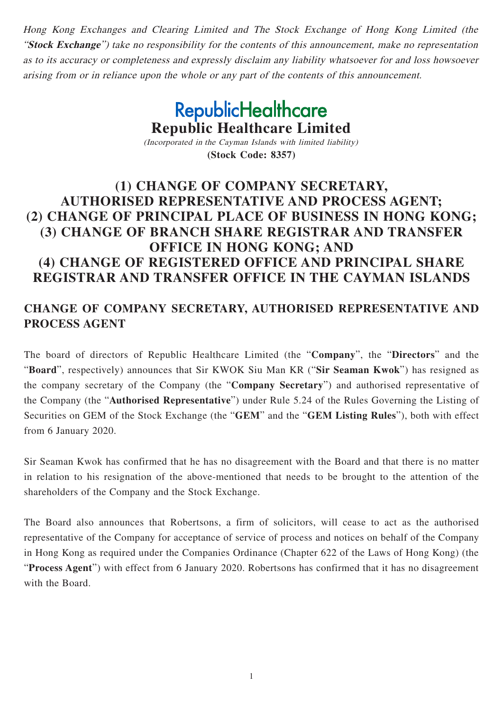Hong Kong Exchanges and Clearing Limited and The Stock Exchange of Hong Kong Limited (the "**Stock Exchange**") take no responsibility for the contents of this announcement, make no representation as to its accuracy or completeness and expressly disclaim any liability whatsoever for and loss howsoever arising from or in reliance upon the whole or any part of the contents of this announcement.

# **RepublicHealthcare Republic Healthcare Limited**

(Incorporated in the Cayman Islands with limited liability) **(Stock Code: 8357)**

# **(1) CHANGE OF COMPANY SECRETARY, AUTHORISED REPRESENTATIVE AND PROCESS AGENT; (2) CHANGE OF PRINCIPAL PLACE OF BUSINESS IN HONG KONG; (3) CHANGE OF BRANCH SHARE REGISTRAR AND TRANSFER OFFICE IN HONG KONG; AND (4) CHANGE OF REGISTERED OFFICE AND PRINCIPAL SHARE REGISTRAR AND TRANSFER OFFICE IN THE CAYMAN ISLANDS**

## **CHANGE OF COMPANY SECRETARY, AUTHORISED REPRESENTATIVE AND PROCESS AGENT**

The board of directors of Republic Healthcare Limited (the "**Company**", the "**Directors**" and the "**Board**", respectively) announces that Sir KWOK Siu Man KR ("**Sir Seaman Kwok**") has resigned as the company secretary of the Company (the "**Company Secretary**") and authorised representative of the Company (the "**Authorised Representative**") under Rule 5.24 of the Rules Governing the Listing of Securities on GEM of the Stock Exchange (the "**GEM**" and the "**GEM Listing Rules**"), both with effect from 6 January 2020.

Sir Seaman Kwok has confirmed that he has no disagreement with the Board and that there is no matter in relation to his resignation of the above-mentioned that needs to be brought to the attention of the shareholders of the Company and the Stock Exchange.

The Board also announces that Robertsons, a firm of solicitors, will cease to act as the authorised representative of the Company for acceptance of service of process and notices on behalf of the Company in Hong Kong as required under the Companies Ordinance (Chapter 622 of the Laws of Hong Kong) (the "**Process Agent**") with effect from 6 January 2020. Robertsons has confirmed that it has no disagreement with the Board.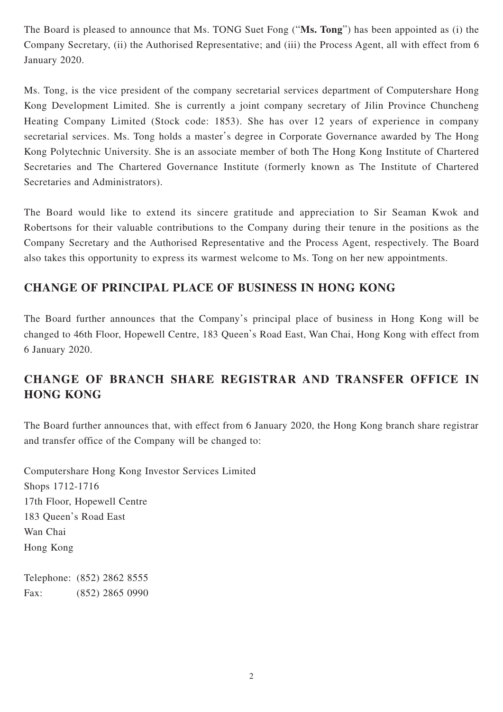The Board is pleased to announce that Ms. TONG Suet Fong ("**Ms. Tong**") has been appointed as (i) the Company Secretary, (ii) the Authorised Representative; and (iii) the Process Agent, all with effect from 6 January 2020.

Ms. Tong, is the vice president of the company secretarial services department of Computershare Hong Kong Development Limited. She is currently a joint company secretary of Jilin Province Chuncheng Heating Company Limited (Stock code: 1853). She has over 12 years of experience in company secretarial services. Ms. Tong holds a master's degree in Corporate Governance awarded by The Hong Kong Polytechnic University. She is an associate member of both The Hong Kong Institute of Chartered Secretaries and The Chartered Governance Institute (formerly known as The Institute of Chartered Secretaries and Administrators).

The Board would like to extend its sincere gratitude and appreciation to Sir Seaman Kwok and Robertsons for their valuable contributions to the Company during their tenure in the positions as the Company Secretary and the Authorised Representative and the Process Agent, respectively. The Board also takes this opportunity to express its warmest welcome to Ms. Tong on her new appointments.

#### **CHANGE OF PRINCIPAL PLACE OF BUSINESS IN HONG KONG**

The Board further announces that the Company's principal place of business in Hong Kong will be changed to 46th Floor, Hopewell Centre, 183 Queen's Road East, Wan Chai, Hong Kong with effect from 6 January 2020.

# **CHANGE OF BRANCH SHARE REGISTRAR AND TRANSFER OFFICE IN HONG KONG**

The Board further announces that, with effect from 6 January 2020, the Hong Kong branch share registrar and transfer office of the Company will be changed to:

Computershare Hong Kong Investor Services Limited Shops 1712-1716 17th Floor, Hopewell Centre 183 Queen's Road East Wan Chai Hong Kong

Telephone: (852) 2862 8555 Fax: (852) 2865 0990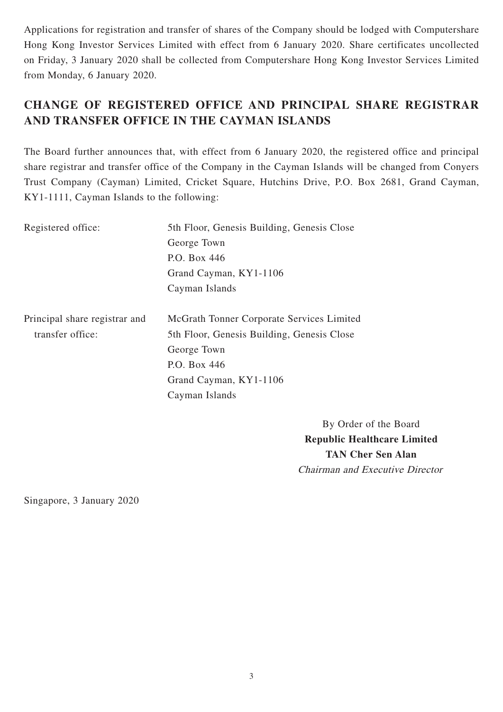Applications for registration and transfer of shares of the Company should be lodged with Computershare Hong Kong Investor Services Limited with effect from 6 January 2020. Share certificates uncollected on Friday, 3 January 2020 shall be collected from Computershare Hong Kong Investor Services Limited from Monday, 6 January 2020.

# **CHANGE OF REGISTERED OFFICE AND PRINCIPAL SHARE REGISTRAR AND TRANSFER OFFICE IN THE CAYMAN ISLANDS**

The Board further announces that, with effect from 6 January 2020, the registered office and principal share registrar and transfer office of the Company in the Cayman Islands will be changed from Conyers Trust Company (Cayman) Limited, Cricket Square, Hutchins Drive, P.O. Box 2681, Grand Cayman, KY1-1111, Cayman Islands to the following:

| Registered office:            | 5th Floor, Genesis Building, Genesis Close |
|-------------------------------|--------------------------------------------|
|                               | George Town                                |
|                               | P.O. Box 446                               |
|                               | Grand Cayman, KY1-1106                     |
|                               | Cayman Islands                             |
|                               |                                            |
| Principal share registrar and | McGrath Tonner Corporate Services Limited  |
| transfer office:              | 5th Floor, Genesis Building, Genesis Close |
|                               | George Town                                |
|                               | P.O. Box 446                               |
|                               | Grand Cayman, KY1-1106                     |
|                               | Cayman Islands                             |
|                               |                                            |

By Order of the Board **Republic Healthcare Limited TAN Cher Sen Alan** Chairman and Executive Director

Singapore, 3 January 2020